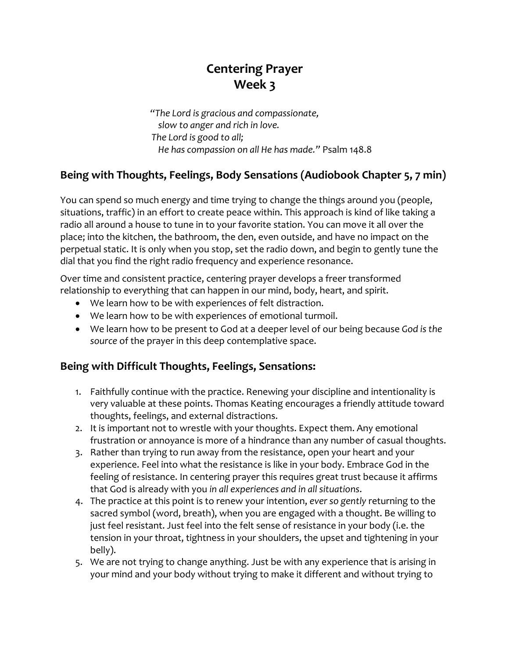## **Centering Prayer Week 3**

*"The Lord is gracious and compassionate, slow to anger and rich in love. The Lord is good to all; He has compassion on all He has made."* Psalm 148.8

### **Being with Thoughts, Feelings, Body Sensations (Audiobook Chapter 5, 7 min)**

You can spend so much energy and time trying to change the things around you (people, situations, traffic) in an effort to create peace within. This approach is kind of like taking a radio all around a house to tune in to your favorite station. You can move it all over the place; into the kitchen, the bathroom, the den, even outside, and have no impact on the perpetual static. It is only when you stop, set the radio down, and begin to gently tune the dial that you find the right radio frequency and experience resonance.

Over time and consistent practice, centering prayer develops a freer transformed relationship to everything that can happen in our mind, body, heart, and spirit.

- We learn how to be with experiences of felt distraction.
- We learn how to be with experiences of emotional turmoil.
- We learn how to be present to God at a deeper level of our being because *God is the source* of the prayer in this deep contemplative space.

#### **Being with Difficult Thoughts, Feelings, Sensations:**

- 1. Faithfully continue with the practice. Renewing your discipline and intentionality is very valuable at these points. Thomas Keating encourages a friendly attitude toward thoughts, feelings, and external distractions.
- 2. It is important not to wrestle with your thoughts. Expect them. Any emotional frustration or annoyance is more of a hindrance than any number of casual thoughts.
- 3. Rather than trying to run away from the resistance, open your heart and your experience. Feel into what the resistance is like in your body. Embrace God in the feeling of resistance. In centering prayer this requires great trust because it affirms that God is already with you *in all experiences and in all situations*.
- 4. The practice at this point is to renew your intention, *ever so gently* returning to the sacred symbol (word, breath), when you are engaged with a thought. Be willing to just feel resistant. Just feel into the felt sense of resistance in your body (i.e. the tension in your throat, tightness in your shoulders, the upset and tightening in your belly).
- 5. We are not trying to change anything. Just be with any experience that is arising in your mind and your body without trying to make it different and without trying to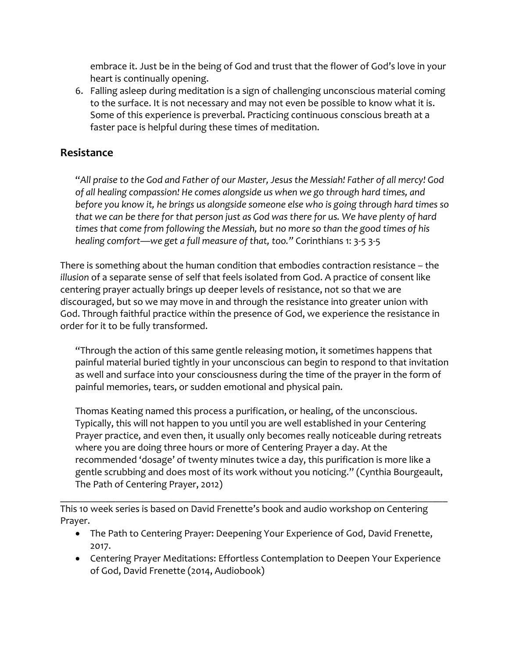embrace it. Just be in the being of God and trust that the flower of God's love in your heart is continually opening.

6. Falling asleep during meditation is a sign of challenging unconscious material coming to the surface. It is not necessary and may not even be possible to know what it is. Some of this experience is preverbal. Practicing continuous conscious breath at a faster pace is helpful during these times of meditation.

#### **Resistance**

"*All praise to the God and Father of our Master, Jesus the Messiah! Father of all mercy! God of all healing compassion! He comes alongside us when we go through hard times, and before you know it, he brings us alongside someone else who is going through hard times so that we can be there for that person just as God was there for us. We have plenty of hard times that come from following the Messiah, but no more so than the good times of his healing comfort—we get a full measure of that, too."* Corinthians 1: 3-5 3-5

There is something about the human condition that embodies contraction resistance – the *illusion* of a separate sense of self that feels isolated from God. A practice of consent like centering prayer actually brings up deeper levels of resistance, not so that we are discouraged, but so we may move in and through the resistance into greater union with God. Through faithful practice within the presence of God, we experience the resistance in order for it to be fully transformed.

"Through the action of this same gentle releasing motion, it sometimes happens that painful material buried tightly in your unconscious can begin to respond to that invitation as well and surface into your consciousness during the time of the prayer in the form of painful memories, tears, or sudden emotional and physical pain.

Thomas Keating named this process a purification, or healing, of the unconscious. Typically, this will not happen to you until you are well established in your Centering Prayer practice, and even then, it usually only becomes really noticeable during retreats where you are doing three hours or more of Centering Prayer a day. At the recommended 'dosage' of twenty minutes twice a day, this purification is more like a gentle scrubbing and does most of its work without you noticing." (Cynthia Bourgeault, The Path of Centering Prayer, 2012)

This 10 week series is based on David Frenette's book and audio workshop on Centering Prayer.

• The Path to Centering Prayer: Deepening Your Experience of God, David Frenette, 2017.

\_\_\_\_\_\_\_\_\_\_\_\_\_\_\_\_\_\_\_\_\_\_\_\_\_\_\_\_\_\_\_\_\_\_\_\_\_\_\_\_\_\_\_\_\_\_\_\_\_\_\_\_\_\_\_\_\_\_\_\_\_\_\_\_\_\_\_\_\_\_\_\_\_\_\_\_\_

• Centering Prayer Meditations: Effortless Contemplation to Deepen Your Experience of God, David Frenette (2014, Audiobook)